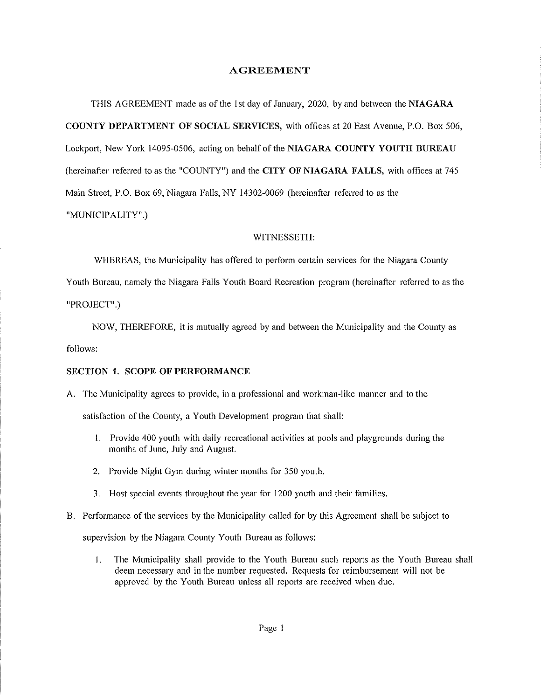#### **AGREEMENT**

THIS AGREEMENT made as of the 1st day of January, 2020, by and between the NIAGARA COUNTY DEPARTMENT OF SOCIAL SERVICES, with offices at 20 East Avenue, P.O. Box 506, Lockport, New York 14095-0506, acting on behalf of the NIAGARA COUNTY YOUTH BUREAU (hereinafter referred to as the "COUNTY") and the CITY OF NIAGARA FALLS, with offices at 745 Main Street, P.O. Box 69, Niagara Falls, NY 14302-0069 (hereinafter referred to as the "MUNICIPALITY".)

#### W1TNESSETH:

WHEREAS, the Municipality has offered to perform certain services for the Niagara County

Youth Bureau, namely the Niagara Falls Youth Board Recreation program (hereinafter referred to as the "PROJECT".)

NOW, THEREFORE, it is mutually agreed by and between the Municipality and the County as follows:

### SECTION 1. SCOPE OF PERFORMANCE

- A. The Municipality agrees to provide, in a professional and workman-like manner and to the satisfaction of the County, a Youth Development program that shall:
	- 1. Provide 400 youth with daily recreational activities at pools and playgrounds during the months of June, July and August.
	- 2. Provide Night Gym during winter months for 350 youth.
	- 3. Host special events throughout the year for 1200 youth and their families.
- B. Performance of the services by the Municipality called for by this Agreement shall be subject to

supervision by the Niagara County Youth Bureau as follows:

1. The Municipality shall provide to the Youth Bureau such reports as the Youth Bureau shall deem necessary and in the number requested. Requests for reimbursement will not be approved by the Youth Bureau unless all reports are received when due.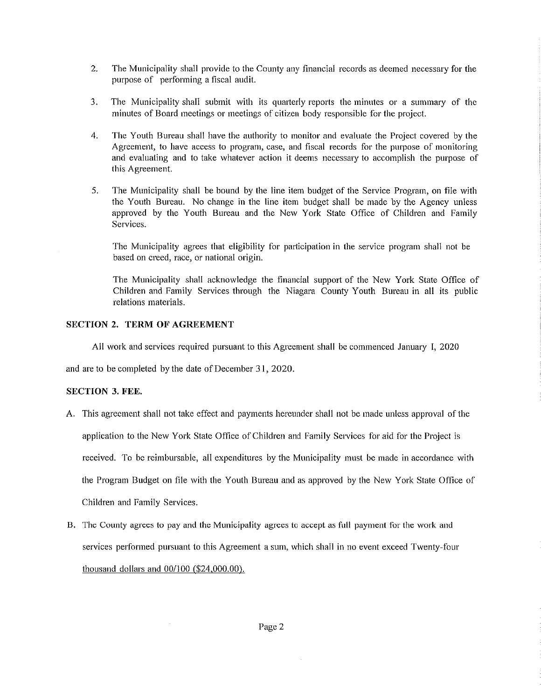- 2. The Municipality shall provide to the County any financial records as deemed necessary for the purpose of performing a fiscal audit.
- 3. The Municipality shall submit with its quarterly reports the minutes or a summary of the minutes of Board meetings or meetings of citizen body responsible for the project.
- 4. The Youth Bureau shall have the authority to monitor and evaluate the Project covered by the Agreement, to have access to program, case, and fiscal records for the purpose of monitoring and evaluating and to take whatever action it deems necessary to accomplish the purpose of this Agreement.
- 5. The Municipality shall be bound by the line item budget of the Service Program, on file with the Youth Bureau. No change in the line item budget shall be made by the Agency unless approved by the Youth Bureau and the New York State Office of Children and Family Services.

The Municipality agrees that eligibility for participation in the service program shall not be based on creed, race, or national origin.

The Municipality shall acknowledge the financial support of the New York State Office of Children and Family Services through the Niagara County Youth Bureau in all its public relations materials.

## SECTION 2. TERM OF AGREEMENT

Ail work and services required pursuant to this Agreement shall be commenced January I, 2020

and are to be completed by the date of December 31, 2020.

### SECTION 3. FEE.

A. This agreement shall not take effect and payments hereunder shall not be made unless approval of the

application to the New York State Office of Children and Family Services for aid for the Project is

received. To be reimbursable, all expenditures by the Municipality must be made in accordance with

the Program Budget on file with the Youth Bureau and as approved by the New York State Office of

Children and Family Services.

 $\sim$ 

B. The County agrees to pay and the Municipality agrees to accept as full payment for the work and services performed pursuant to this Agreement a sum, which shall in no event exceed Twenty-four thousand dollars and 00/100 (\$24,000.00).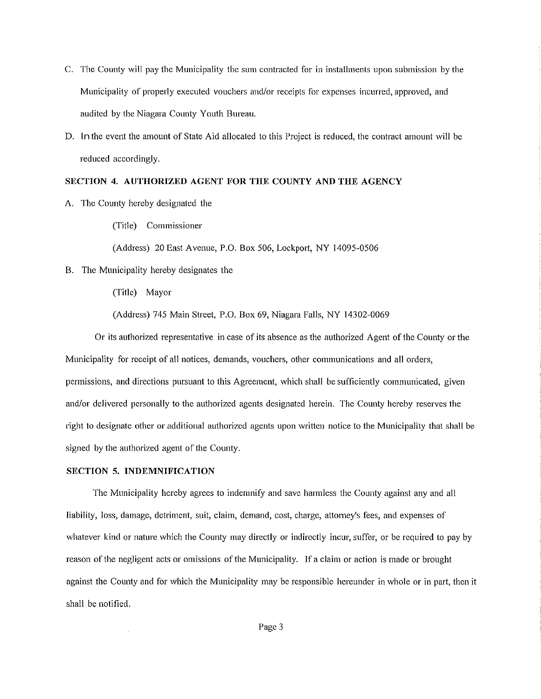- C. The County wiil pay the Municipality the sum contracted for in installments upon submission by the Municipaiity of properly executed vouchers and/or receipts for expenses incurred, approved, and audited by the Niagara County Youth Bureau.
- D. In the event the amount of State Aid allocated to this Project is reduced, the contract amount will be reduced accordingly.

#### SECTION 4. AUTHORIZED AGENT FOR THE COUNTY AND THE AGENCY

A. The County hereby designated the

(Title) Commissioner

(Address) 20 East Avenue, P.O. Box 506, Lockport, NY 14095-0506

B. The Municipality hereby designates the

(Title) Mayor

(Address) 745 Main Street, P.O. Box 69, Niagara Falls, NY 14302-0069

Or its authorized representative in case of its absence as the authorized Agent of the County or the Municipality for receipt of all notices, demands, vouchers, other communications and all orders, permissions, and directions pursuant to this Agreement, which shall be sufficiently communicated, given and/or delivered personally to the authorized agents designated herein. The County hereby reserves the right to designate other or additional authorized agents upon written notice to the Municipality that shall be signed by the authorized agent of the County.

#### SECTION 5. INDEMNIFICATION

The Municipality hereby agrees to indemnify and save harmless the County against any and all liability, loss, damage, detriment, suit, claim, demand, cost, charge, attorney's fees, and expenses of whatever kind or nature which the County may directly or indirectly incur, suffer, or be required to pay by reason of the negligent acts or omissions of the Municipality. If a claim or action is made or brought against the County and for which the Municipality may be responsible hereunder in whole or in part, then it shall be notified.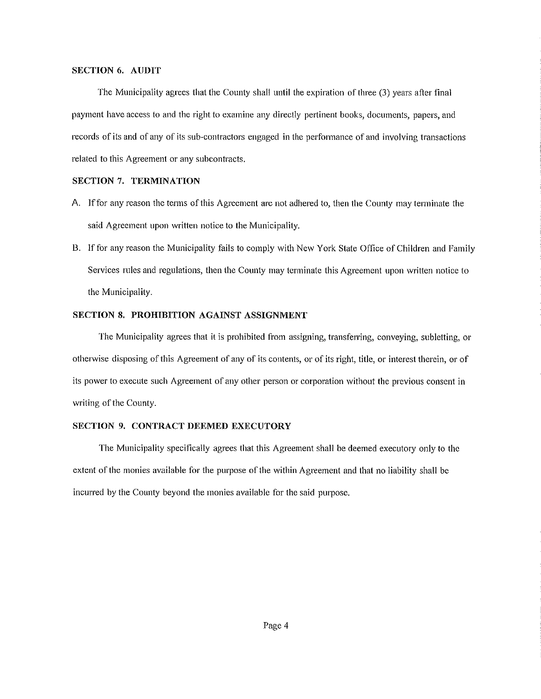#### SECTION 6. AUDIT

The Municipality agrees that the County shall until the expiration of three (3) years after final payment have access to and the right to examine any directly pertinent books, documents, papers, and records of its and of any of its sub-contractors engaged in the performance of and involving transactions related to this Agreement or any subcontracts.

# SECTION 7. TERMINATION

- A. If for any reason the terms of this Agreement are not adhered to, then the County may terminate the said Agreement upon written notice to the Municipality.
- B. If for any reason the Municipality fails to comply with New York State Office of Children and Family Services rules and regulations, then the County may terminate this Agreement upon written notice to the Municipality.

### SECTION 8. PROHIBITION AGAINST ASSIGNMENT

The Municipality agrees that it is prohibited from assigning, transferring, conveying, subletting, or otherwise disposing of this Agreement of any of its contents, or of its right, title, or interest therein, or of its power to execute such Agreement of any other person or corporation without the previous consent in writing of the County.

#### SECTION 9. CONTRACT DEEMED EXECUTORY

The Municipality specifically agrees that this Agreement shall be deemed executory only to the extent of the monies available for the purpose of the within Agreement and that no liability shall be incurred by the County beyond the monies available for the said purpose.